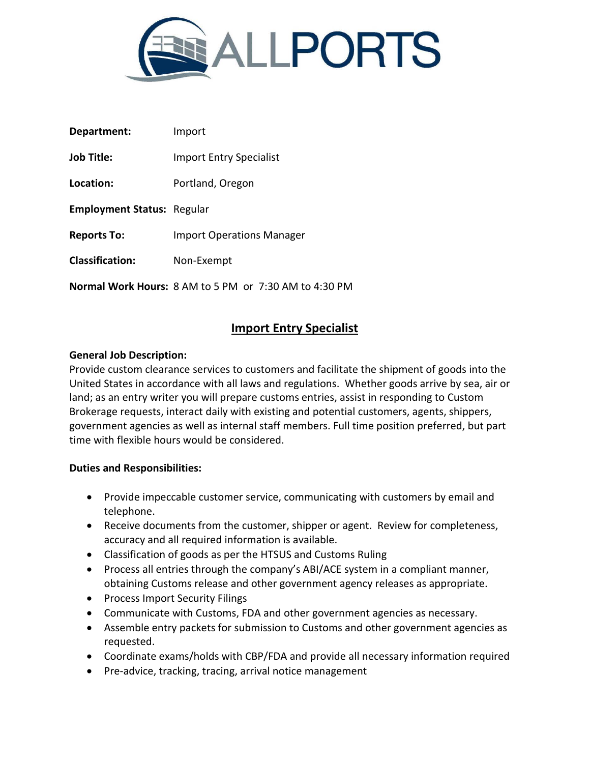

| Department:                       | Import                                                       |
|-----------------------------------|--------------------------------------------------------------|
| <b>Job Title:</b>                 | <b>Import Entry Specialist</b>                               |
| Location:                         | Portland, Oregon                                             |
| <b>Employment Status: Regular</b> |                                                              |
| <b>Reports To:</b>                | <b>Import Operations Manager</b>                             |
| <b>Classification:</b>            | Non-Exempt                                                   |
|                                   | <b>Normal Work Hours: 8 AM to 5 PM or 7:30 AM to 4:30 PM</b> |

## **Import Entry Specialist**

## **General Job Description:**

Provide custom clearance services to customers and facilitate the shipment of goods into the United States in accordance with all laws and regulations. Whether goods arrive by sea, air or land; as an entry writer you will prepare customs entries, assist in responding to Custom Brokerage requests, interact daily with existing and potential customers, agents, shippers, government agencies as well as internal staff members. Full time position preferred, but part time with flexible hours would be considered.

## **Duties and Responsibilities:**

- Provide impeccable customer service, communicating with customers by email and telephone.
- Receive documents from the customer, shipper or agent. Review for completeness, accuracy and all required information is available.
- Classification of goods as per the HTSUS and Customs Ruling
- Process all entries through the company's ABI/ACE system in a compliant manner, obtaining Customs release and other government agency releases as appropriate.
- Process Import Security Filings
- Communicate with Customs, FDA and other government agencies as necessary.
- Assemble entry packets for submission to Customs and other government agencies as requested.
- Coordinate exams/holds with CBP/FDA and provide all necessary information required
- Pre-advice, tracking, tracing, arrival notice management